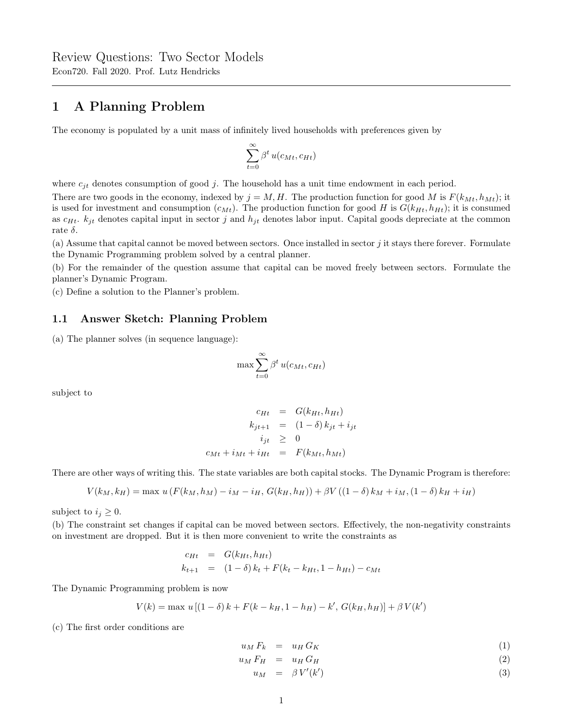# 1 A Planning Problem

The economy is populated by a unit mass of infinitely lived households with preferences given by

$$
\sum_{t=0}^{\infty} \beta^t \, u(c_{Mt}, c_{Ht})
$$

where  $c_{jt}$  denotes consumption of good j. The household has a unit time endowment in each period.

There are two goods in the economy, indexed by  $j = M, H$ . The production function for good M is  $F(k_{Mt}, h_{Mt})$ ; it is used for investment and consumption  $(c_{Mt})$ . The production function for good H is  $G(k_{Ht}, h_{Ht})$ ; it is consumed as  $c_{Ht}$ .  $k_{jt}$  denotes capital input in sector j and  $h_{jt}$  denotes labor input. Capital goods depreciate at the common rate  $\delta$ .

(a) Assume that capital cannot be moved between sectors. Once installed in sector  $j$  it stays there forever. Formulate the Dynamic Programming problem solved by a central planner.

(b) For the remainder of the question assume that capital can be moved freely between sectors. Formulate the planner's Dynamic Program.

(c) Define a solution to the Planner's problem.

### 1.1 Answer Sketch: Planning Problem

(a) The planner solves (in sequence language):

$$
\max \sum_{t=0}^{\infty} \beta^t u(c_{Mt}, c_{Ht})
$$

subject to

$$
c_{Ht} = G(k_{Ht}, h_{Ht})
$$
  
\n
$$
k_{jt+1} = (1 - \delta) k_{jt} + i_{jt}
$$
  
\n
$$
i_{jt} \geq 0
$$
  
\n
$$
c_{Mt} + i_{Mt} + i_{Ht} = F(k_{Mt}, h_{Mt})
$$

There are other ways of writing this. The state variables are both capital stocks. The Dynamic Program is therefore:

$$
V(k_M, k_H) = \max u(F(k_M, h_M) - i_M - i_H, G(k_H, h_H)) + \beta V((1 - \delta) k_M + i_M, (1 - \delta) k_H + i_H)
$$

subject to  $i_j \geq 0$ .

(b) The constraint set changes if capital can be moved between sectors. Effectively, the non-negativity constraints on investment are dropped. But it is then more convenient to write the constraints as

$$
c_{Ht} = G(k_{Ht}, h_{Ht})
$$
  
\n
$$
k_{t+1} = (1 - \delta) k_t + F(k_t - k_{Ht}, 1 - h_{Ht}) - c_{Mt}
$$

The Dynamic Programming problem is now

$$
V(k)=\max\,u\left[(1-\delta)\,k+F(k-k_H,1-h_H)-k',\,G(k_H,h_H)\right]+\beta\,V(k')
$$

(c) The first order conditions are

$$
u_M F_k = u_H G_K \tag{1}
$$

 $u_M F_H = u_H G_H$  (2)

$$
u_M = \beta V'(k') \tag{3}
$$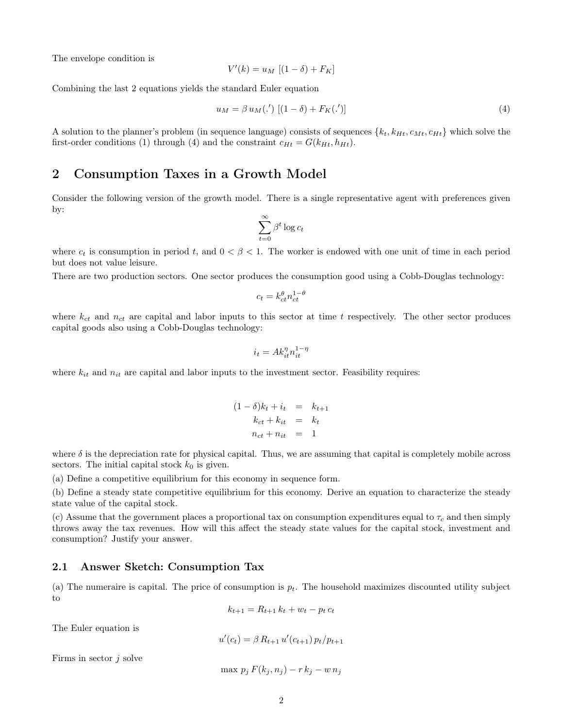The envelope condition is

$$
V'(k) = u_M [(1 - \delta) + F_K]
$$

Combining the last 2 equations yields the standard Euler equation

$$
u_M = \beta u_M(\cdot') \left[ (1 - \delta) + F_K(\cdot') \right] \tag{4}
$$

A solution to the planner's problem (in sequence language) consists of sequences  ${k_t, k_{Ht}, c_{Mt}, c_{Ht}}$  which solve the first-order conditions (1) through (4) and the constraint  $c_{Ht} = G(k_{Ht}, h_{Ht})$ .

### 2 Consumption Taxes in a Growth Model

Consider the following version of the growth model. There is a single representative agent with preferences given by:

$$
\sum_{t=0}^\infty \beta^t \log c_t
$$

where  $c_t$  is consumption in period t, and  $0 < \beta < 1$ . The worker is endowed with one unit of time in each period but does not value leisure.

There are two production sectors. One sector produces the consumption good using a Cobb-Douglas technology:

$$
c_t = k_{ct}^{\theta} n_{ct}^{1-\theta}
$$

where  $k_{ct}$  and  $n_{ct}$  are capital and labor inputs to this sector at time t respectively. The other sector produces capital goods also using a Cobb-Douglas technology:

$$
i_t = Ak_{it}^{\eta} n_{it}^{1-\eta}
$$

where  $k_{it}$  and  $n_{it}$  are capital and labor inputs to the investment sector. Feasibility requires:

$$
(1 - \delta)k_t + i_t = k_{t+1}
$$
  

$$
k_{ct} + k_{it} = k_t
$$
  

$$
n_{ct} + n_{it} = 1
$$

where  $\delta$  is the depreciation rate for physical capital. Thus, we are assuming that capital is completely mobile across sectors. The initial capital stock  $k_0$  is given.

(a) Define a competitive equilibrium for this economy in sequence form.

(b) Define a steady state competitive equilibrium for this economy. Derive an equation to characterize the steady state value of the capital stock.

(c) Assume that the government places a proportional tax on consumption expenditures equal to  $\tau_c$  and then simply throws away the tax revenues. How will this affect the steady state values for the capital stock, investment and consumption? Justify your answer.

#### 2.1 Answer Sketch: Consumption Tax

(a) The numeraire is capital. The price of consumption is  $p_t$ . The household maximizes discounted utility subject to

$$
k_{t+1} = R_{t+1} k_t + w_t - p_t c_t
$$

The Euler equation is

$$
u'(c_t) = \beta R_{t+1} u'(c_{t+1}) p_t / p_{t+1}
$$

Firms in sector  $j$  solve

$$
\max p_j F(k_j, n_j) - r k_j - w n_j
$$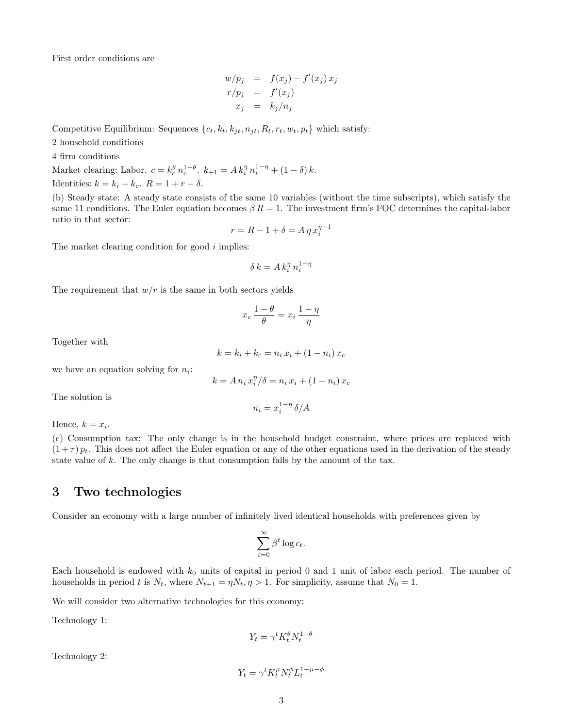First order conditions are

$$
w/p_j = f(x_j) - f'(x_j) x_j
$$
  
\n
$$
r/p_j = f'(x_j)
$$
  
\n
$$
x_j = k_j/n_j
$$

Competitive Equilibrium: Sequences  $\{c_t, k_t, k_{jt}, n_{jt}, R_t, r_t, w_t, p_t\}$  which satisfy:

2 household conditions

4 firm conditions

Market clearing: Labor.  $c = k_c^{\theta} n_c^{1-\theta}$ .  $k_{+1} = A k_i^{\eta} n_i^{1-\eta} + (1 - \delta) k$ . Identities:  $k = k_i + k_c$ .  $R = 1 + r - \delta$ .

(b) Steady state: A steady state consists of the same 10 variables (without the time subscripts), which satisfy the same 11 conditions. The Euler equation becomes  $\beta R = 1$ . The investment firm's FOC determines the capital-labor ratio in that sector:

$$
r = R - 1 + \delta = A \eta x_i^{\eta - 1}
$$

The market clearing condition for good  $i$  implies:

$$
\delta\,k = A\,k_i^\eta\,n_i^{1-\eta}
$$

The requirement that  $w/r$  is the same in both sectors yields

$$
x_c \frac{1-\theta}{\theta} = x_i \frac{1-\eta}{\eta}
$$

Together with

$$
k = k_i + k_c = n_i x_i + (1 - n_i) x_c
$$

we have an equation solving for  $n_i$ :

$$
k = A n_i x_i^{\eta} / \delta = n_i x_i + (1 - n_i) x_c
$$

The solution is

$$
n_i = x_i^{1-\eta} \, \delta / A
$$

Hence,  $k = x_i$ .

(c) Consumption tax: The only change is in the household budget constraint, where prices are replaced with  $(1+\tau) p_t$ . This does not affect the Euler equation or any of the other equations used in the derivation of the steady state value of k. The only change is that consumption falls by the amount of the tax.

## 3 Two technologies

Consider an economy with a large number of infinitely lived identical households with preferences given by

$$
\sum_{t=0}^{\infty} \beta^t \log c_t.
$$

Each household is endowed with  $k_0$  units of capital in period 0 and 1 unit of labor each period. The number of households in period t is  $N_t$ , where  $N_{t+1} = \eta N_t$ ,  $\eta > 1$ . For simplicity, assume that  $N_0 = 1$ .

We will consider two alternative technologies for this economy:

Technology 1:

$$
Y_t = \gamma^t K_t^{\theta} N_t^{1-\theta}
$$

Technology 2:

$$
Y_t = \gamma^t K_t^{\mu} N_t^{\phi} L_t^{1-\mu-\phi}
$$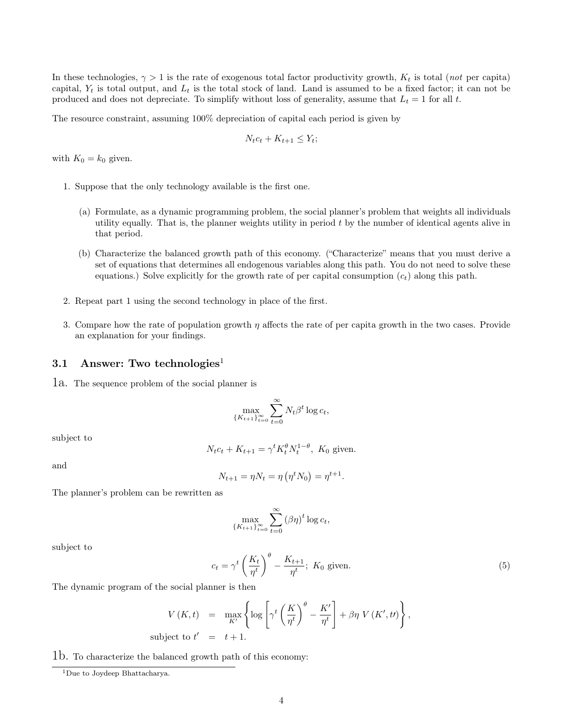In these technologies,  $\gamma > 1$  is the rate of exogenous total factor productivity growth,  $K_t$  is total (not per capita) capital,  $Y_t$  is total output, and  $L_t$  is the total stock of land. Land is assumed to be a fixed factor; it can not be produced and does not depreciate. To simplify without loss of generality, assume that  $L_t = 1$  for all t.

The resource constraint, assuming 100% depreciation of capital each period is given by

$$
N_t c_t + K_{t+1} \leq Y_t;
$$

with  $K_0 = k_0$  given.

- 1. Suppose that the only technology available is the first one.
	- (a) Formulate, as a dynamic programming problem, the social planner's problem that weights all individuals utility equally. That is, the planner weights utility in period t by the number of identical agents alive in that period.
	- (b) Characterize the balanced growth path of this economy. ("Characterize" means that you must derive a set of equations that determines all endogenous variables along this path. You do not need to solve these equations.) Solve explicitly for the growth rate of per capital consumption  $(c_t)$  along this path.
- 2. Repeat part 1 using the second technology in place of the first.
- 3. Compare how the rate of population growth  $\eta$  affects the rate of per capita growth in the two cases. Provide an explanation for your findings.

#### 3.1 Answer: Two technologies<sup>1</sup>

1a. The sequence problem of the social planner is

$$
\max_{\{K_{t+1}\}_{t=0}^{\infty}} \sum_{t=0}^{\infty} N_t \beta^t \log c_t,
$$

subject to

$$
N_t c_t + K_{t+1} = \gamma^t K_t^{\theta} N_t^{1-\theta}, K_0
$$
 given.

and

$$
N_{t+1} = \eta N_t = \eta (\eta^t N_0) = \eta^{t+1}.
$$

The planner's problem can be rewritten as

$$
\max_{\{K_{t+1}\}_{t=0}^{\infty}} \sum_{t=0}^{\infty} (\beta \eta)^t \log c_t,
$$

subject to

$$
c_t = \gamma^t \left(\frac{K_t}{\eta^t}\right)^{\theta} - \frac{K_{t+1}}{\eta^t}; \ K_0 \text{ given.}
$$
 (5)

The dynamic program of the social planner is then

$$
V(K,t) = \max_{K'} \left\{ \log \left[ \gamma^t \left( \frac{K}{\eta^t} \right)^{\theta} - \frac{K'}{\eta^t} \right] + \beta \eta \ V(K',t) \right\},
$$
  
subject to  $t' = t + 1$ .

1b. To characterize the balanced growth path of this economy:

<sup>&</sup>lt;sup>1</sup>Due to Joydeep Bhattacharya.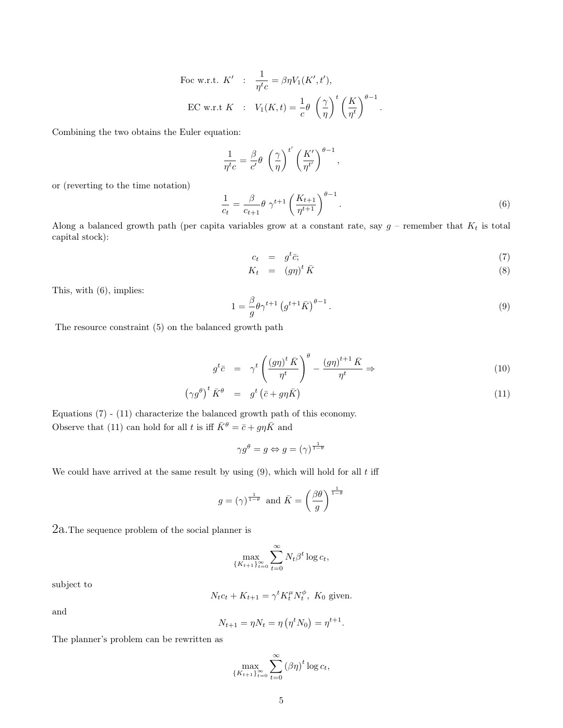For w.r.t. 
$$
K' \colon \frac{1}{\eta^t c} = \beta \eta V_1(K', t'),
$$

\nEC w.r.t  $K \colon V_1(K, t) = \frac{1}{c} \theta \left(\frac{\gamma}{\eta}\right)^t \left(\frac{K}{\eta^t}\right)^{\theta - 1}.$ 

Combining the two obtains the Euler equation:

$$
\frac{1}{\eta^t c} = \frac{\beta}{c'} \theta \left(\frac{\gamma}{\eta}\right)^{t'} \left(\frac{K'}{\eta^{t'}}\right)^{\theta - 1}
$$

or (reverting to the time notation)

$$
\frac{1}{c_t} = \frac{\beta}{c_{t+1}} \theta \gamma^{t+1} \left(\frac{K_{t+1}}{\eta^{t+1}}\right)^{\theta-1}.
$$
\n(6)

,

Along a balanced growth path (per capita variables grow at a constant rate, say  $g$  – remember that  $K_t$  is total capital stock):

$$
c_t = g^t \bar{c}; \tag{7}
$$

$$
K_t = (g\eta)^t \bar{K} \tag{8}
$$

This, with (6), implies:

$$
1 = \frac{\beta}{g} \theta \gamma^{t+1} \left( g^{t+1} \bar{K} \right)^{\theta - 1} . \tag{9}
$$

The resource constraint (5) on the balanced growth path

$$
g^t \bar{c} = \gamma^t \left( \frac{(g\eta)^t \bar{K}}{\eta^t} \right)^\theta - \frac{(g\eta)^{t+1} \bar{K}}{\eta^t} \Rightarrow
$$
 (10)

$$
\left(\gamma g^{\theta}\right)^{t} \bar{K}^{\theta} = g^{t} \left(\bar{c} + g\eta \bar{K}\right)
$$
\n(11)

Equations (7) - (11) characterize the balanced growth path of this economy. Observe that (11) can hold for all t is iff  $\bar{K}^{\theta} = \bar{c} + g\eta \bar{K}$  and

$$
\gamma g^{\theta} = g \Leftrightarrow g = (\gamma)^{\frac{1}{1-\theta}}
$$

We could have arrived at the same result by using  $(9)$ , which will hold for all t iff

$$
g = (\gamma)^{\frac{1}{1-\theta}}
$$
 and  $\bar{K} = \left(\frac{\beta\theta}{g}\right)^{\frac{1}{1-\theta}}$ 

2a.The sequence problem of the social planner is

$$
\max_{\{K_{t+1}\}_{t=0}^{\infty}} \sum_{t=0}^{\infty} N_t \beta^t \log c_t,
$$

subject to

$$
N_t c_t + K_{t+1} = \gamma^t K_t^{\mu} N_t^{\phi}, \ K_0 \text{ given.}
$$

and

$$
N_{t+1} = \eta N_t = \eta (\eta^t N_0) = \eta^{t+1}.
$$

The planner's problem can be rewritten as

$$
\max_{\{K_{t+1}\}_{t=0}^{\infty}} \sum_{t=0}^{\infty} (\beta \eta)^t \log c_t,
$$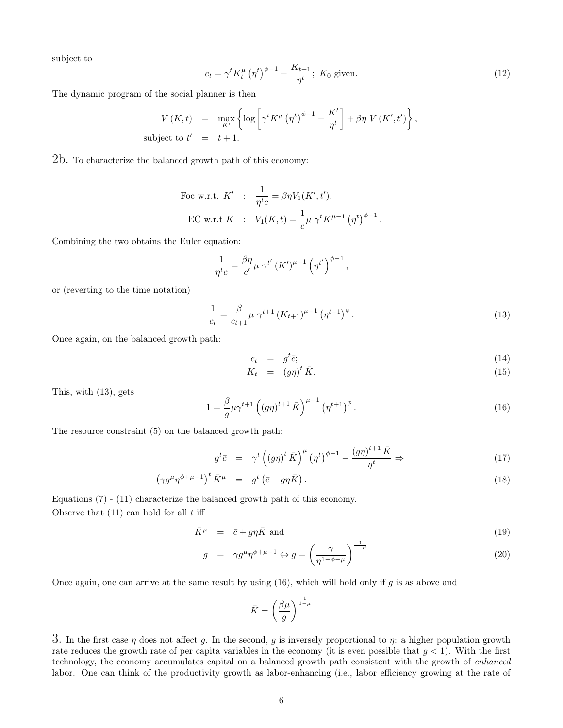subject to

$$
c_t = \gamma^t K_t^{\mu} \left( \eta^t \right)^{\phi - 1} - \frac{K_{t+1}}{\eta^t}; \ K_0 \text{ given.}
$$
 (12)

The dynamic program of the social planner is then

$$
V(K,t) = \max_{K'} \left\{ \log \left[ \gamma^t K^{\mu} (\eta^t)^{\phi-1} - \frac{K'}{\eta^t} \right] + \beta \eta V(K',t') \right\},\
$$
subject to  $t' = t + 1$ .

2b. To characterize the balanced growth path of this economy:

For w.r.t. 
$$
K' : \frac{1}{\eta^t c} = \beta \eta V_1(K', t'),
$$

\nEC w.r.t  $K : V_1(K, t) = \frac{1}{c} \mu \gamma^t K^{\mu - 1} (\eta^t)^{\phi - 1}.$ 

Combining the two obtains the Euler equation:

$$
\frac{1}{\eta^t c} = \frac{\beta \eta}{c'} \mu \gamma^{t'} \left(K'\right)^{\mu-1} \left(\eta^{t'}\right)^{\phi-1}
$$

or (reverting to the time notation)

$$
\frac{1}{c_t} = \frac{\beta}{c_{t+1}} \mu \gamma^{t+1} \left( K_{t+1} \right)^{\mu-1} \left( \eta^{t+1} \right)^{\phi} . \tag{13}
$$

,

Once again, on the balanced growth path:

$$
c_t = g^t \bar{c}; \tag{14}
$$

$$
K_t = (g\eta)^t \bar{K}.\tag{15}
$$

This, with (13), gets

$$
1 = \frac{\beta}{g} \mu \gamma^{t+1} \left( (g\eta)^{t+1} \bar{K} \right)^{\mu-1} \left( \eta^{t+1} \right)^{\phi} . \tag{16}
$$

The resource constraint (5) on the balanced growth path:

$$
g^t \bar{c} = \gamma^t \left( \left( g \eta \right)^t \bar{K} \right)^\mu \left( \eta^t \right)^{\phi - 1} - \frac{\left( g \eta \right)^{t+1} \bar{K}}{\eta^t} \Rightarrow \tag{17}
$$

$$
\left(\gamma g^{\mu}\eta^{\phi+\mu-1}\right)^{t}\bar{K}^{\mu} = g^{t}\left(\bar{c}+g\eta\bar{K}\right). \tag{18}
$$

Equations (7) - (11) characterize the balanced growth path of this economy.

Observe that  $(11)$  can hold for all  $t$  iff

$$
\bar{K}^{\mu} = \bar{c} + g\eta \bar{K} \text{ and } \tag{19}
$$

$$
g = \gamma g^{\mu} \eta^{\phi + \mu - 1} \Leftrightarrow g = \left(\frac{\gamma}{\eta^{1 - \phi - \mu}}\right)^{\frac{1}{1 - \mu}}
$$
\n(20)

Once again, one can arrive at the same result by using  $(16)$ , which will hold only if q is as above and

$$
\bar{K} = \left(\frac{\beta\mu}{g}\right)^{\frac{1}{1-\mu}}
$$

3. In the first case  $\eta$  does not affect g. In the second, g is inversely proportional to  $\eta$ : a higher population growth rate reduces the growth rate of per capita variables in the economy (it is even possible that  $g < 1$ ). With the first technology, the economy accumulates capital on a balanced growth path consistent with the growth of enhanced labor. One can think of the productivity growth as labor-enhancing (i.e., labor efficiency growing at the rate of